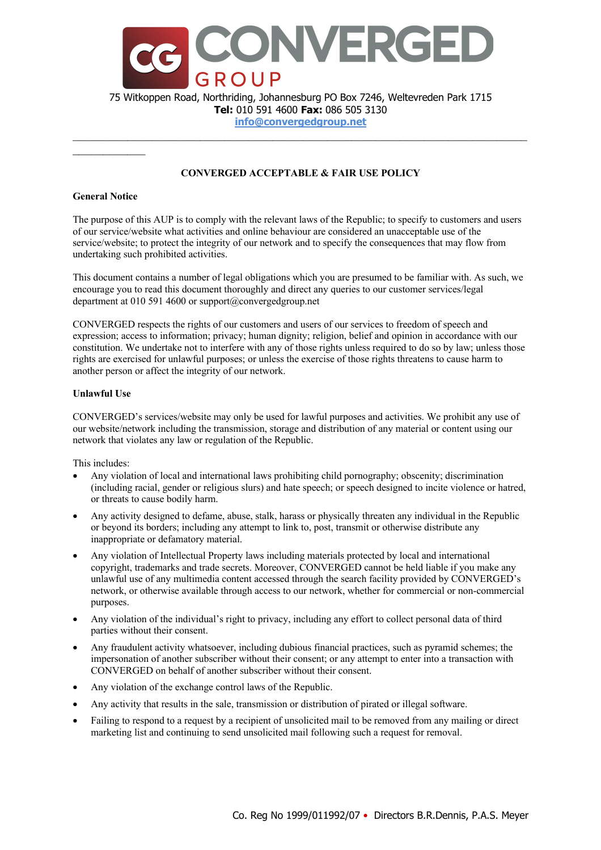

**Tel:** 010 591 4600 **Fax:** 086 505 3130

**info@convergedgroup.net**  $\mathcal{L}_\mathcal{L} = \mathcal{L}_\mathcal{L} = \mathcal{L}_\mathcal{L} = \mathcal{L}_\mathcal{L} = \mathcal{L}_\mathcal{L} = \mathcal{L}_\mathcal{L} = \mathcal{L}_\mathcal{L} = \mathcal{L}_\mathcal{L} = \mathcal{L}_\mathcal{L} = \mathcal{L}_\mathcal{L} = \mathcal{L}_\mathcal{L} = \mathcal{L}_\mathcal{L} = \mathcal{L}_\mathcal{L} = \mathcal{L}_\mathcal{L} = \mathcal{L}_\mathcal{L} = \mathcal{L}_\mathcal{L} = \mathcal{L}_\mathcal{L}$ 

# **CONVERGED ACCEPTABLE & FAIR USE POLICY**

# **General Notice**

The purpose of this AUP is to comply with the relevant laws of the Republic; to specify to customers and users of our service/website what activities and online behaviour are considered an unacceptable use of the service/website; to protect the integrity of our network and to specify the consequences that may flow from undertaking such prohibited activities.

This document contains a number of legal obligations which you are presumed to be familiar with. As such, we encourage you to read this document thoroughly and direct any queries to our customer services/legal department at 010 591 4600 or support@convergedgroup.net

CONVERGED respects the rights of our customers and users of our services to freedom of speech and expression; access to information; privacy; human dignity; religion, belief and opinion in accordance with our constitution. We undertake not to interfere with any of those rights unless required to do so by law; unless those rights are exercised for unlawful purposes; or unless the exercise of those rights threatens to cause harm to another person or affect the integrity of our network.

### **Unlawful Use**

CONVERGED's services/website may only be used for lawful purposes and activities. We prohibit any use of our website/network including the transmission, storage and distribution of any material or content using our network that violates any law or regulation of the Republic.

This includes:

- Any violation of local and international laws prohibiting child pornography; obscenity; discrimination (including racial, gender or religious slurs) and hate speech; or speech designed to incite violence or hatred, or threats to cause bodily harm.
- Any activity designed to defame, abuse, stalk, harass or physically threaten any individual in the Republic or beyond its borders; including any attempt to link to, post, transmit or otherwise distribute any inappropriate or defamatory material.
- Any violation of Intellectual Property laws including materials protected by local and international copyright, trademarks and trade secrets. Moreover, CONVERGED cannot be held liable if you make any unlawful use of any multimedia content accessed through the search facility provided by CONVERGED's network, or otherwise available through access to our network, whether for commercial or non-commercial purposes.
- Any violation of the individual's right to privacy, including any effort to collect personal data of third parties without their consent.
- Any fraudulent activity whatsoever, including dubious financial practices, such as pyramid schemes; the impersonation of another subscriber without their consent; or any attempt to enter into a transaction with CONVERGED on behalf of another subscriber without their consent.
- Any violation of the exchange control laws of the Republic.
- Any activity that results in the sale, transmission or distribution of pirated or illegal software.
- Failing to respond to a request by a recipient of unsolicited mail to be removed from any mailing or direct marketing list and continuing to send unsolicited mail following such a request for removal.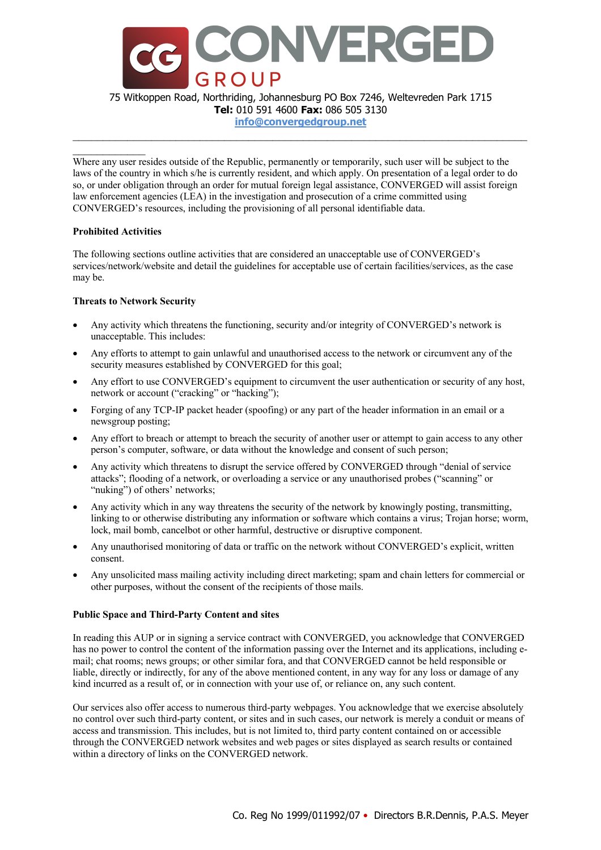

75 Witkoppen Road, Northriding, Johannesburg PO Box 7246, Weltevreden Park 1715 **Tel:** 010 591 4600 **Fax:** 086 505 3130

**info@convergedgroup.net**  $\mathcal{L}_\mathcal{L} = \mathcal{L}_\mathcal{L} = \mathcal{L}_\mathcal{L} = \mathcal{L}_\mathcal{L} = \mathcal{L}_\mathcal{L} = \mathcal{L}_\mathcal{L} = \mathcal{L}_\mathcal{L} = \mathcal{L}_\mathcal{L} = \mathcal{L}_\mathcal{L} = \mathcal{L}_\mathcal{L} = \mathcal{L}_\mathcal{L} = \mathcal{L}_\mathcal{L} = \mathcal{L}_\mathcal{L} = \mathcal{L}_\mathcal{L} = \mathcal{L}_\mathcal{L} = \mathcal{L}_\mathcal{L} = \mathcal{L}_\mathcal{L}$ 

Where any user resides outside of the Republic, permanently or temporarily, such user will be subject to the laws of the country in which s/he is currently resident, and which apply. On presentation of a legal order to do so, or under obligation through an order for mutual foreign legal assistance, CONVERGED will assist foreign law enforcement agencies (LEA) in the investigation and prosecution of a crime committed using CONVERGED's resources, including the provisioning of all personal identifiable data.

### **Prohibited Activities**

The following sections outline activities that are considered an unacceptable use of CONVERGED's services/network/website and detail the guidelines for acceptable use of certain facilities/services, as the case may be.

# **Threats to Network Security**

- Any activity which threatens the functioning, security and/or integrity of CONVERGED's network is unacceptable. This includes:
- Any efforts to attempt to gain unlawful and unauthorised access to the network or circumvent any of the security measures established by CONVERGED for this goal;
- Any effort to use CONVERGED's equipment to circumvent the user authentication or security of any host, network or account ("cracking" or "hacking");
- Forging of any TCP-IP packet header (spoofing) or any part of the header information in an email or a newsgroup posting;
- Any effort to breach or attempt to breach the security of another user or attempt to gain access to any other person's computer, software, or data without the knowledge and consent of such person;
- Any activity which threatens to disrupt the service offered by CONVERGED through "denial of service attacks"; flooding of a network, or overloading a service or any unauthorised probes ("scanning" or "nuking") of others' networks;
- Any activity which in any way threatens the security of the network by knowingly posting, transmitting, linking to or otherwise distributing any information or software which contains a virus; Trojan horse; worm, lock, mail bomb, cancelbot or other harmful, destructive or disruptive component.
- Any unauthorised monitoring of data or traffic on the network without CONVERGED's explicit, written consent.
- Any unsolicited mass mailing activity including direct marketing; spam and chain letters for commercial or other purposes, without the consent of the recipients of those mails.

### **Public Space and Third-Party Content and sites**

In reading this AUP or in signing a service contract with CONVERGED, you acknowledge that CONVERGED has no power to control the content of the information passing over the Internet and its applications, including email; chat rooms; news groups; or other similar fora, and that CONVERGED cannot be held responsible or liable, directly or indirectly, for any of the above mentioned content, in any way for any loss or damage of any kind incurred as a result of, or in connection with your use of, or reliance on, any such content.

Our services also offer access to numerous third-party webpages. You acknowledge that we exercise absolutely no control over such third-party content, or sites and in such cases, our network is merely a conduit or means of access and transmission. This includes, but is not limited to, third party content contained on or accessible through the CONVERGED network websites and web pages or sites displayed as search results or contained within a directory of links on the CONVERGED network.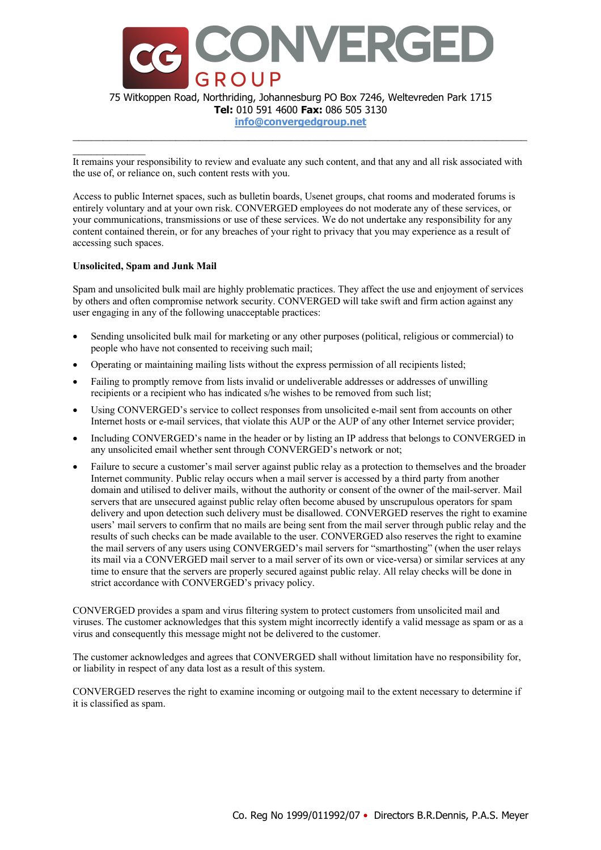

**Tel:** 010 591 4600 **Fax:** 086 505 3130

**info@convergedgroup.net**  $\mathcal{L}_\mathcal{L} = \mathcal{L}_\mathcal{L} = \mathcal{L}_\mathcal{L} = \mathcal{L}_\mathcal{L} = \mathcal{L}_\mathcal{L} = \mathcal{L}_\mathcal{L} = \mathcal{L}_\mathcal{L} = \mathcal{L}_\mathcal{L} = \mathcal{L}_\mathcal{L} = \mathcal{L}_\mathcal{L} = \mathcal{L}_\mathcal{L} = \mathcal{L}_\mathcal{L} = \mathcal{L}_\mathcal{L} = \mathcal{L}_\mathcal{L} = \mathcal{L}_\mathcal{L} = \mathcal{L}_\mathcal{L} = \mathcal{L}_\mathcal{L}$ 

It remains your responsibility to review and evaluate any such content, and that any and all risk associated with the use of, or reliance on, such content rests with you.

Access to public Internet spaces, such as bulletin boards, Usenet groups, chat rooms and moderated forums is entirely voluntary and at your own risk. CONVERGED employees do not moderate any of these services, or your communications, transmissions or use of these services. We do not undertake any responsibility for any content contained therein, or for any breaches of your right to privacy that you may experience as a result of accessing such spaces.

### **Unsolicited, Spam and Junk Mail**

Spam and unsolicited bulk mail are highly problematic practices. They affect the use and enjoyment of services by others and often compromise network security. CONVERGED will take swift and firm action against any user engaging in any of the following unacceptable practices:

- Sending unsolicited bulk mail for marketing or any other purposes (political, religious or commercial) to people who have not consented to receiving such mail;
- Operating or maintaining mailing lists without the express permission of all recipients listed;
- Failing to promptly remove from lists invalid or undeliverable addresses or addresses of unwilling recipients or a recipient who has indicated s/he wishes to be removed from such list;
- Using CONVERGED's service to collect responses from unsolicited e-mail sent from accounts on other Internet hosts or e-mail services, that violate this AUP or the AUP of any other Internet service provider;
- Including CONVERGED's name in the header or by listing an IP address that belongs to CONVERGED in any unsolicited email whether sent through CONVERGED's network or not;
- Failure to secure a customer's mail server against public relay as a protection to themselves and the broader Internet community. Public relay occurs when a mail server is accessed by a third party from another domain and utilised to deliver mails, without the authority or consent of the owner of the mail-server. Mail servers that are unsecured against public relay often become abused by unscrupulous operators for spam delivery and upon detection such delivery must be disallowed. CONVERGED reserves the right to examine users' mail servers to confirm that no mails are being sent from the mail server through public relay and the results of such checks can be made available to the user. CONVERGED also reserves the right to examine the mail servers of any users using CONVERGED's mail servers for "smarthosting" (when the user relays its mail via a CONVERGED mail server to a mail server of its own or vice-versa) or similar services at any time to ensure that the servers are properly secured against public relay. All relay checks will be done in strict accordance with CONVERGED's privacy policy.

CONVERGED provides a spam and virus filtering system to protect customers from unsolicited mail and viruses. The customer acknowledges that this system might incorrectly identify a valid message as spam or as a virus and consequently this message might not be delivered to the customer.

The customer acknowledges and agrees that CONVERGED shall without limitation have no responsibility for, or liability in respect of any data lost as a result of this system.

CONVERGED reserves the right to examine incoming or outgoing mail to the extent necessary to determine if it is classified as spam.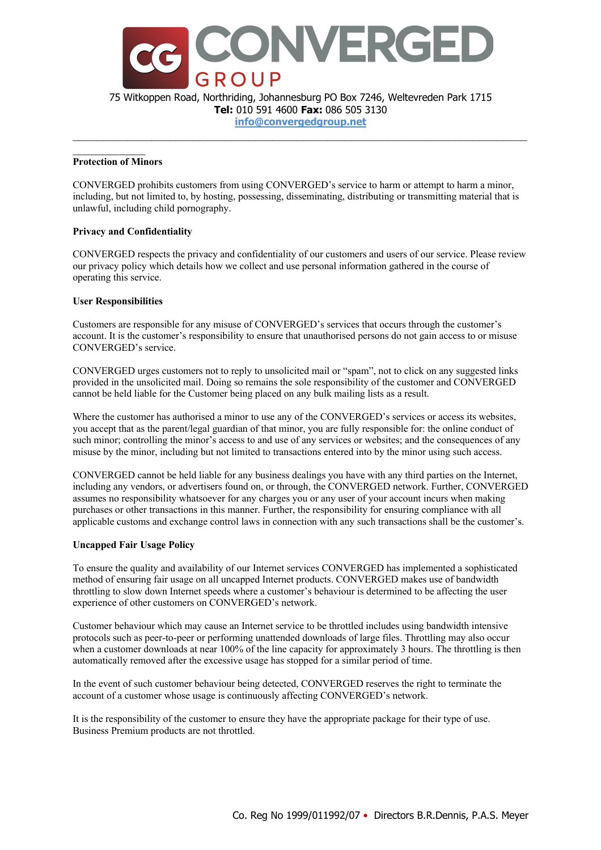

**Tel:** 010 591 4600 **Fax:** 086 505 3130

**info@convergedgroup.net**  $\mathcal{L}_\mathcal{L} = \mathcal{L}_\mathcal{L} = \mathcal{L}_\mathcal{L} = \mathcal{L}_\mathcal{L} = \mathcal{L}_\mathcal{L} = \mathcal{L}_\mathcal{L} = \mathcal{L}_\mathcal{L} = \mathcal{L}_\mathcal{L} = \mathcal{L}_\mathcal{L} = \mathcal{L}_\mathcal{L} = \mathcal{L}_\mathcal{L} = \mathcal{L}_\mathcal{L} = \mathcal{L}_\mathcal{L} = \mathcal{L}_\mathcal{L} = \mathcal{L}_\mathcal{L} = \mathcal{L}_\mathcal{L} = \mathcal{L}_\mathcal{L}$ 

### **Protection of Minors**

CONVERGED prohibits customers from using CONVERGED's service to harm or attempt to harm a minor, including, but not limited to, by hosting, possessing, disseminating, distributing or transmitting material that is unlawful, including child pornography.

# **Privacy and Confidentiality**

CONVERGED respects the privacy and confidentiality of our customers and users of our service. Please review our privacy policy which details how we collect and use personal information gathered in the course of operating this service.

# **User Responsibilities**

Customers are responsible for any misuse of CONVERGED's services that occurs through the customer's account. It is the customer's responsibility to ensure that unauthorised persons do not gain access to or misuse CONVERGED's service.

CONVERGED urges customers not to reply to unsolicited mail or "spam", not to click on any suggested links provided in the unsolicited mail. Doing so remains the sole responsibility of the customer and CONVERGED cannot be held liable for the Customer being placed on any bulk mailing lists as a result.

Where the customer has authorised a minor to use any of the CONVERGED's services or access its websites, you accept that as the parent/legal guardian of that minor, you are fully responsible for: the online conduct of such minor; controlling the minor's access to and use of any services or websites; and the consequences of any misuse by the minor, including but not limited to transactions entered into by the minor using such access.

CONVERGED cannot be held liable for any business dealings you have with any third parties on the Internet, including any vendors, or advertisers found on, or through, the CONVERGED network. Further, CONVERGED assumes no responsibility whatsoever for any charges you or any user of your account incurs when making purchases or other transactions in this manner. Further, the responsibility for ensuring compliance with all applicable customs and exchange control laws in connection with any such transactions shall be the customer's.

### **Uncapped Fair Usage Policy**

To ensure the quality and availability of our Internet services CONVERGED has implemented a sophisticated method of ensuring fair usage on all uncapped Internet products. CONVERGED makes use of bandwidth throttling to slow down Internet speeds where a customer's behaviour is determined to be affecting the user experience of other customers on CONVERGED's network.

Customer behaviour which may cause an Internet service to be throttled includes using bandwidth intensive protocols such as peer-to-peer or performing unattended downloads of large files. Throttling may also occur when a customer downloads at near 100% of the line capacity for approximately 3 hours. The throttling is then automatically removed after the excessive usage has stopped for a similar period of time.

In the event of such customer behaviour being detected, CONVERGED reserves the right to terminate the account of a customer whose usage is continuously affecting CONVERGED's network.

It is the responsibility of the customer to ensure they have the appropriate package for their type of use. Business Premium products are not throttled.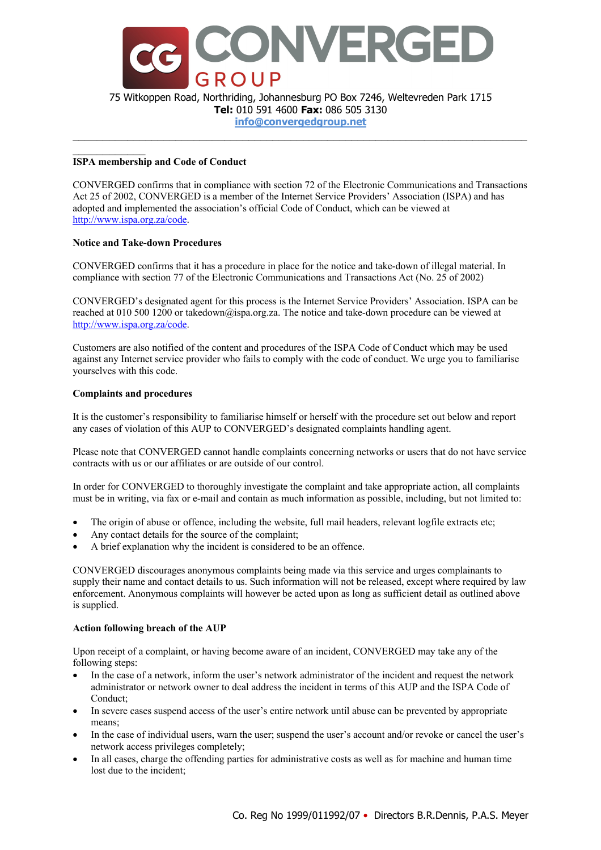

75 Witkoppen Road, Northriding, Johannesburg PO Box 7246, Weltevreden Park 1715 **Tel:** 010 591 4600 **Fax:** 086 505 3130

**info@convergedgroup.net**  $\mathcal{L}_\mathcal{L} = \mathcal{L}_\mathcal{L} = \mathcal{L}_\mathcal{L} = \mathcal{L}_\mathcal{L} = \mathcal{L}_\mathcal{L} = \mathcal{L}_\mathcal{L} = \mathcal{L}_\mathcal{L} = \mathcal{L}_\mathcal{L} = \mathcal{L}_\mathcal{L} = \mathcal{L}_\mathcal{L} = \mathcal{L}_\mathcal{L} = \mathcal{L}_\mathcal{L} = \mathcal{L}_\mathcal{L} = \mathcal{L}_\mathcal{L} = \mathcal{L}_\mathcal{L} = \mathcal{L}_\mathcal{L} = \mathcal{L}_\mathcal{L}$ 

### **ISPA membership and Code of Conduct**

CONVERGED confirms that in compliance with section 72 of the Electronic Communications and Transactions Act 25 of 2002, CONVERGED is a member of the Internet Service Providers' Association (ISPA) and has adopted and implemented the association's official Code of Conduct, which can be viewed at http://www.ispa.org.za/code.

# **Notice and Take-down Procedures**

CONVERGED confirms that it has a procedure in place for the notice and take-down of illegal material. In compliance with section 77 of the Electronic Communications and Transactions Act (No. 25 of 2002)

CONVERGED's designated agent for this process is the Internet Service Providers' Association. ISPA can be reached at 010 500 1200 or takedown@ispa.org.za. The notice and take-down procedure can be viewed at http://www.ispa.org.za/code.

Customers are also notified of the content and procedures of the ISPA Code of Conduct which may be used against any Internet service provider who fails to comply with the code of conduct. We urge you to familiarise yourselves with this code.

# **Complaints and procedures**

It is the customer's responsibility to familiarise himself or herself with the procedure set out below and report any cases of violation of this AUP to CONVERGED's designated complaints handling agent.

Please note that CONVERGED cannot handle complaints concerning networks or users that do not have service contracts with us or our affiliates or are outside of our control.

In order for CONVERGED to thoroughly investigate the complaint and take appropriate action, all complaints must be in writing, via fax or e-mail and contain as much information as possible, including, but not limited to:

- The origin of abuse or offence, including the website, full mail headers, relevant logfile extracts etc;
- Any contact details for the source of the complaint;
- A brief explanation why the incident is considered to be an offence.

CONVERGED discourages anonymous complaints being made via this service and urges complainants to supply their name and contact details to us. Such information will not be released, except where required by law enforcement. Anonymous complaints will however be acted upon as long as sufficient detail as outlined above is supplied.

### **Action following breach of the AUP**

Upon receipt of a complaint, or having become aware of an incident, CONVERGED may take any of the following steps:

- In the case of a network, inform the user's network administrator of the incident and request the network administrator or network owner to deal address the incident in terms of this AUP and the ISPA Code of Conduct;
- In severe cases suspend access of the user's entire network until abuse can be prevented by appropriate means;
- In the case of individual users, warn the user; suspend the user's account and/or revoke or cancel the user's network access privileges completely;
- In all cases, charge the offending parties for administrative costs as well as for machine and human time lost due to the incident;